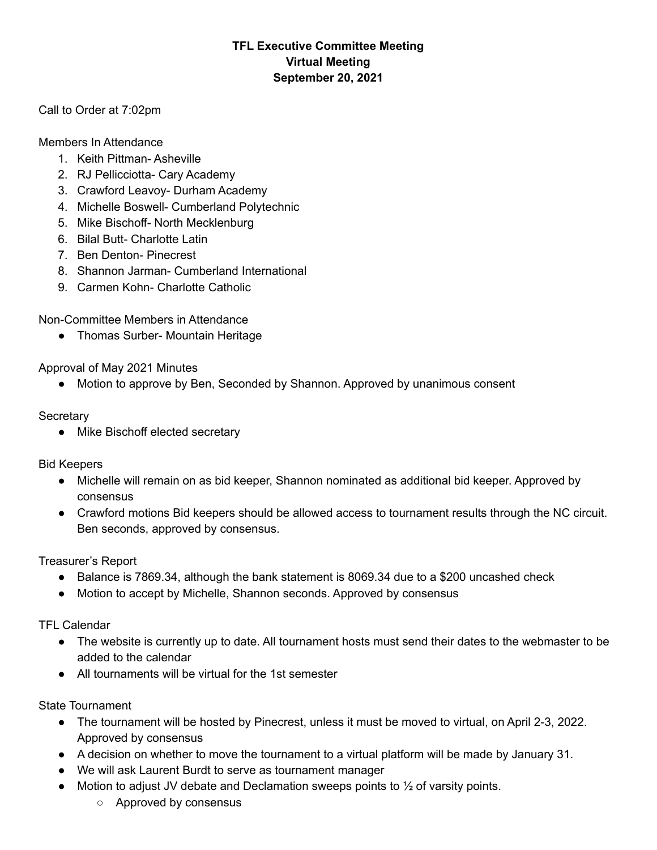## **TFL Executive Committee Meeting Virtual Meeting September 20, 2021**

Call to Order at 7:02pm

Members In Attendance

- 1. Keith Pittman- Asheville
- 2. RJ Pellicciotta- Cary Academy
- 3. Crawford Leavoy- Durham Academy
- 4. Michelle Boswell- Cumberland Polytechnic
- 5. Mike Bischoff- North Mecklenburg
- 6. Bilal Butt- Charlotte Latin
- 7. Ben Denton- Pinecrest
- 8. Shannon Jarman- Cumberland International
- 9. Carmen Kohn- Charlotte Catholic

Non-Committee Members in Attendance

● Thomas Surber- Mountain Heritage

Approval of May 2021 Minutes

● Motion to approve by Ben, Seconded by Shannon. Approved by unanimous consent

**Secretary** 

• Mike Bischoff elected secretary

Bid Keepers

- Michelle will remain on as bid keeper, Shannon nominated as additional bid keeper. Approved by consensus
- Crawford motions Bid keepers should be allowed access to tournament results through the NC circuit. Ben seconds, approved by consensus.

Treasurer's Report

- Balance is 7869.34, although the bank statement is 8069.34 due to a \$200 uncashed check
- Motion to accept by Michelle, Shannon seconds. Approved by consensus

TFL Calendar

- The website is currently up to date. All tournament hosts must send their dates to the webmaster to be added to the calendar
- All tournaments will be virtual for the 1st semester

State Tournament

- The tournament will be hosted by Pinecrest, unless it must be moved to virtual, on April 2-3, 2022. Approved by consensus
- A decision on whether to move the tournament to a virtual platform will be made by January 31.
- We will ask Laurent Burdt to serve as tournament manager
- Motion to adjust JV debate and Declamation sweeps points to  $\frac{1}{2}$  of varsity points.
	- Approved by consensus